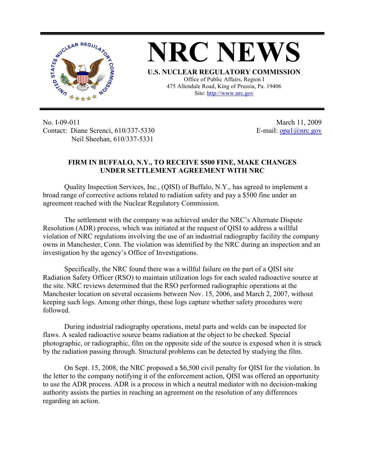

**NRC NEWS U.S. NUCLEAR REGULATORY COMMISSION** Office of Public Affairs, Region I 475 Allendale Road, King of Prussia, Pa. 19406

Site: http://www.nrc.gov

No. I-09-011 Contact: Diane Screnci, 610/337-5330 Neil Sheehan, 610/337-5331

March 11, 2009 E-mail:  $\frac{1}{2}$  Opa1 $\frac{1}{2}$  Onrc.gov

## **FIRM IN BUFFALO, N.Y., TO RECEIVE \$500 FINE, MAKE CHANGES UNDER SETTLEMENT AGREEMENT WITH NRC**

Quality Inspection Services, Inc., (QISI) of Buffalo, N.Y., has agreed to implement a broad range of corrective actions related to radiation safety and pay a \$500 fine under an agreement reached with the Nuclear Regulatory Commission.

The settlement with the company was achieved under the NRC's Alternate Dispute Resolution (ADR) process, which was initiated at the request of QISI to address a willful violation of NRC regulations involving the use of an industrial radiography facility the company owns in Manchester, Conn. The violation was identified by the NRC during an inspection and an investigation by the agency's Office of Investigations.

Specifically, the NRC found there was a willful failure on the part of a QISI site Radiation Safety Officer (RSO) to maintain utilization logs for each sealed radioactive source at the site. NRC reviews determined that the RSO performed radiographic operations at the Manchester location on several occasions between Nov. 15, 2006, and March 2, 2007, without keeping such logs. Among other things, these logs capture whether safety procedures were followed.

During industrial radiography operations, metal parts and welds can be inspected for flaws. A sealed radioactive source beams radiation at the object to be checked. Special photographic, or radiographic, film on the opposite side of the source is exposed when it is struck by the radiation passing through. Structural problems can be detected by studying the film.

On Sept. 15, 2008, the NRC proposed a \$6,500 civil penalty for QISI for the violation. In the letter to the company notifying it of the enforcement action, QISI was offered an opportunity to use the ADR process. ADR is a process in which a neutral mediator with no decision-making authority assists the parties in reaching an agreement on the resolution of any differences regarding an action.